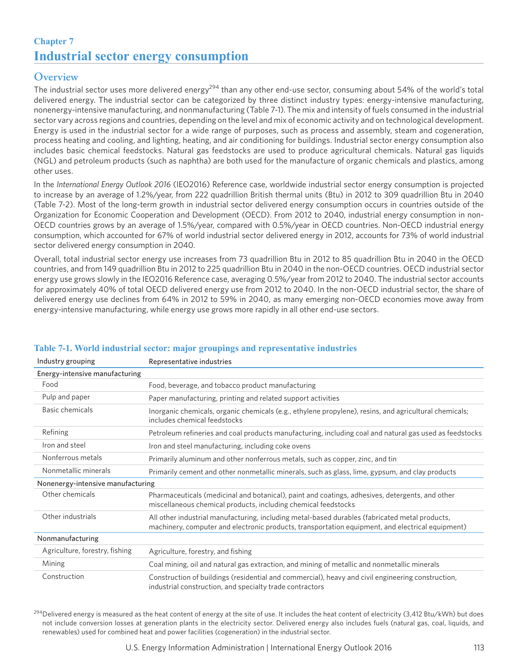# **Chapter 7 Industrial sector energy consumption**

## **Overview**

The industrial sector uses more delivered energy<sup>294</sup> than any other end-use sector, consuming about 54% of the world's total delivered energy. The industrial sector can be categorized by three distinct industry types: energy-intensive manufacturing, nonenergy-intensive manufacturing, and nonmanufacturing (Table 7-1). The mix and intensity of fuels consumed in the industrial sector vary across regions and countries, depending on the level and mix of economic activity and on technological development. Energy is used in the industrial sector for a wide range of purposes, such as process and assembly, steam and cogeneration, process heating and cooling, and lighting, heating, and air conditioning for buildings. Industrial sector energy consumption also includes basic chemical feedstocks. Natural gas feedstocks are used to produce agricultural chemicals. Natural gas liquids (NGL) and petroleum products (such as naphtha) are both used for the manufacture of organic chemicals and plastics, among other uses.

In the *International Energy Outlook 2016* (IEO2016) Reference case, worldwide industrial sector energy consumption is projected to increase by an average of 1.2%/year, from 222 quadrillion British thermal units (Btu) in 2012 to 309 quadrillion Btu in 2040 (Table 7-2). Most of the long-term growth in industrial sector delivered energy consumption occurs in countries outside of the Organization for Economic Cooperation and Development (OECD). From 2012 to 2040, industrial energy consumption in non-OECD countries grows by an average of 1.5%/year, compared with 0.5%/year in OECD countries. Non-OECD industrial energy consumption, which accounted for 67% of world industrial sector delivered energy in 2012, accounts for 73% of world industrial sector delivered energy consumption in 2040.

Overall, total industrial sector energy use increases from 73 quadrillion Btu in 2012 to 85 quadrillion Btu in 2040 in the OECD countries, and from 149 quadrillion Btu in 2012 to 225 quadrillion Btu in 2040 in the non-OECD countries. OECD industrial sector energy use grows slowly in the IEO2016 Reference case, averaging 0.5%/year from 2012 to 2040. The industrial sector accounts for approximately 40% of total OECD delivered energy use from 2012 to 2040. In the non-OECD industrial sector, the share of delivered energy use declines from 64% in 2012 to 59% in 2040, as many emerging non-OECD economies move away from energy-intensive manufacturing, while energy use grows more rapidly in all other end-use sectors.

| Industry grouping                 | Representative industries                                                                                                                                                                          |
|-----------------------------------|----------------------------------------------------------------------------------------------------------------------------------------------------------------------------------------------------|
| Energy-intensive manufacturing    |                                                                                                                                                                                                    |
| Food                              | Food, beverage, and tobacco product manufacturing                                                                                                                                                  |
| Pulp and paper                    | Paper manufacturing, printing and related support activities                                                                                                                                       |
| Basic chemicals                   | Inorganic chemicals, organic chemicals (e.g., ethylene propylene), resins, and agricultural chemicals;<br>includes chemical feedstocks                                                             |
| Refining                          | Petroleum refineries and coal products manufacturing, including coal and natural gas used as feedstocks                                                                                            |
| Iron and steel                    | Iron and steel manufacturing, including coke ovens                                                                                                                                                 |
| Nonferrous metals                 | Primarily aluminum and other nonferrous metals, such as copper, zinc, and tin                                                                                                                      |
| Nonmetallic minerals              | Primarily cement and other nonmetallic minerals, such as glass, lime, gypsum, and clay products                                                                                                    |
| Nonenergy-intensive manufacturing |                                                                                                                                                                                                    |
| Other chemicals                   | Pharmaceuticals (medicinal and botanical), paint and coatings, adhesives, detergents, and other<br>miscellaneous chemical products, including chemical feedstocks                                  |
| Other industrials                 | All other industrial manufacturing, including metal-based durables (fabricated metal products,<br>machinery, computer and electronic products, transportation equipment, and electrical equipment) |
| Nonmanufacturing                  |                                                                                                                                                                                                    |
| Agriculture, forestry, fishing    | Agriculture, forestry, and fishing                                                                                                                                                                 |
| Mining                            | Coal mining, oil and natural gas extraction, and mining of metallic and nonmetallic minerals                                                                                                       |
| Construction                      | Construction of buildings (residential and commercial), heavy and civil engineering construction,<br>industrial construction, and specialty trade contractors                                      |

#### **Table 7-1. World industrial sector: major groupings and representative industries**

 $^{294}$ Delivered energy is measured as the heat content of energy at the site of use. It includes the heat content of electricity (3,412 Btu/kWh) but does not include conversion losses at generation plants in the electricity sector. Delivered energy also includes fuels (natural gas, coal, liquids, and renewables) used for combined heat and power facilities (cogeneration) in the industrial sector.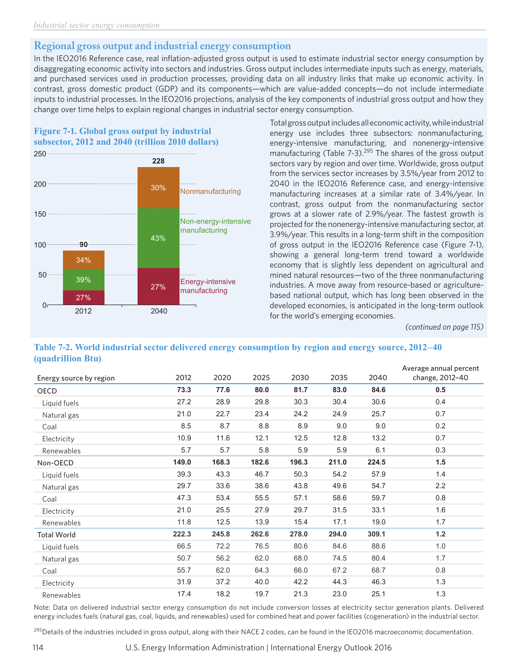# **Regional gross output and industrial energy consumption**

In the IEO2016 Reference case, real inflation-adjusted gross output is used to estimate industrial sector energy consumption by disaggregating economic activity into sectors and industries. Gross output includes intermediate inputs such as energy, materials, and purchased services used in production processes, providing data on all industry links that make up economic activity. In contrast, gross domestic product (GDP) and its components—which are value-added concepts—do not include intermediate inputs to industrial processes. In the IEO2016 projections, analysis of the key components of industrial gross output and how they change over time helps to explain regional changes in industrial sector energy consumption.





Total gross output includes all economic activity, while industrial energy use includes three subsectors: nonmanufacturing, energy-intensive manufacturing, and nonenergy-intensive manufacturing (Table 7-3).<sup>295</sup> The shares of the gross output sectors vary by region and over time. Worldwide, gross output from the services sector increases by 3.5%/year from 2012 to 2040 in the IEO2016 Reference case, and energy-intensive manufacturing increases at a similar rate of 3.4%/year. In contrast, gross output from the nonmanufacturing sector grows at a slower rate of 2.9%/year. The fastest growth is projected for the nonenergy-intensive manufacturing sector, at 3.9%/year. This results in a long-term shift in the composition of gross output in the IEO2016 Reference case (Figure 7-1), showing a general long-term trend toward a worldwide economy that is slightly less dependent on agricultural and mined natural resources—two of the three nonmanufacturing industries. A move away from resource-based or agriculturebased national output, which has long been observed in the developed economies, is anticipated in the long-term outlook for the world's emerging economies.

*(continued on page 115)*

#### **Table 7-2. World industrial sector delivered energy consumption by region and energy source, 2012–40 (quadrillion Btu)**

| Energy source by region | 2012  | 2020  | 2025  | 2030  | 2035  | 2040  | Average annual percent<br>change, 2012-40 |
|-------------------------|-------|-------|-------|-------|-------|-------|-------------------------------------------|
| OECD                    | 73.3  | 77.6  | 80.0  | 81.7  | 83.0  | 84.6  | 0.5                                       |
| Liquid fuels            | 27.2  | 28.9  | 29.8  | 30.3  | 30.4  | 30.6  | 0.4                                       |
| Natural gas             | 21.0  | 22.7  | 23.4  | 24.2  | 24.9  | 25.7  | 0.7                                       |
| Coal                    | 8.5   | 8.7   | 8.8   | 8.9   | 9.0   | 9.0   | 0.2                                       |
| Electricity             | 10.9  | 11.6  | 12.1  | 12.5  | 12.8  | 13.2  | 0.7                                       |
| Renewables              | 5.7   | 5.7   | 5.8   | 5.9   | 5.9   | 6.1   | 0.3                                       |
| Non-OECD                | 149.0 | 168.3 | 182.6 | 196.3 | 211.0 | 224.5 | 1.5                                       |
| Liquid fuels            | 39.3  | 43.3  | 46.7  | 50.3  | 54.2  | 57.9  | 1.4                                       |
| Natural gas             | 29.7  | 33.6  | 38.6  | 43.8  | 49.6  | 54.7  | 2.2                                       |
| Coal                    | 47.3  | 53.4  | 55.5  | 57.1  | 58.6  | 59.7  | 0.8                                       |
| Electricity             | 21.0  | 25.5  | 27.9  | 29.7  | 31.5  | 33.1  | 1.6                                       |
| Renewables              | 11.8  | 12.5  | 13.9  | 15.4  | 17.1  | 19.0  | 1.7                                       |
| <b>Total World</b>      | 222.3 | 245.8 | 262.6 | 278.0 | 294.0 | 309.1 | $1.2$                                     |
| Liquid fuels            | 66.5  | 72.2  | 76.5  | 80.6  | 84.6  | 88.6  | 1.0                                       |
| Natural gas             | 50.7  | 56.2  | 62.0  | 68.0  | 74.5  | 80.4  | 1.7                                       |
| Coal                    | 55.7  | 62.0  | 64.3  | 66.0  | 67.2  | 68.7  | 0.8                                       |
| Electricity             | 31.9  | 37.2  | 40.0  | 42.2  | 44.3  | 46.3  | 1.3                                       |
| Renewables              | 17.4  | 18.2  | 19.7  | 21.3  | 23.0  | 25.1  | 1.3                                       |

Note: Data on delivered industrial sector energy consumption do not include conversion losses at electricity sector generation plants. Delivered energy includes fuels (natural gas, coal, liquids, and renewables) used for combined heat and power facilities (cogeneration) in the industrial sector.

 $^{295}$ Details of the industries included in gross output, along with their NACE 2 codes, can be found in the IEO2016 macroeconomic documentation.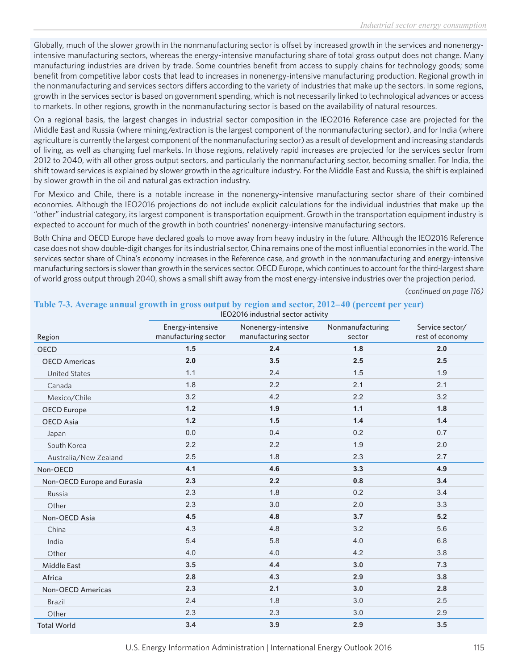Globally, much of the slower growth in the nonmanufacturing sector is offset by increased growth in the services and nonenergyintensive manufacturing sectors, whereas the energy-intensive manufacturing share of total gross output does not change. Many manufacturing industries are driven by trade. Some countries benefit from access to supply chains for technology goods; some benefit from competitive labor costs that lead to increases in nonenergy-intensive manufacturing production. Regional growth in the nonmanufacturing and services sectors differs according to the variety of industries that make up the sectors. In some regions, growth in the services sector is based on government spending, which is not necessarily linked to technological advances or access to markets. In other regions, growth in the nonmanufacturing sector is based on the availability of natural resources.

On a regional basis, the largest changes in industrial sector composition in the IEO2016 Reference case are projected for the Middle East and Russia (where mining/extraction is the largest component of the nonmanufacturing sector), and for India (where agriculture is currently the largest component of the nonmanufacturing sector) as a result of development and increasing standards of living, as well as changing fuel markets. In those regions, relatively rapid increases are projected for the services sector from 2012 to 2040, with all other gross output sectors, and particularly the nonmanufacturing sector, becoming smaller. For India, the shift toward services is explained by slower growth in the agriculture industry. For the Middle East and Russia, the shift is explained by slower growth in the oil and natural gas extraction industry.

For Mexico and Chile, there is a notable increase in the nonenergy-intensive manufacturing sector share of their combined economies. Although the IEO2016 projections do not include explicit calculations for the individual industries that make up the "other" industrial category, its largest component is transportation equipment. Growth in the transportation equipment industry is expected to account for much of the growth in both countries' nonenergy-intensive manufacturing sectors.

Both China and OECD Europe have declared goals to move away from heavy industry in the future. Although the IEO2016 Reference case does not show double-digit changes for its industrial sector, China remains one of the most influential economies in the world. The services sector share of China's economy increases in the Reference case, and growth in the nonmanufacturing and energy-intensive manufacturing sectors is slower than growth in the services sector. OECD Europe, which continues to account for the third-largest share of world gross output through 2040, shows a small shift away from the most energy-intensive industries over the projection period.

IEO2016 industrial sector activity

*(continued on page 116)*

| Region                      | Energy-intensive<br>manufacturing sector | Nonenergy-intensive<br>manufacturing sector | Nonmanufacturing<br>sector | Service sector/<br>rest of economy |  |
|-----------------------------|------------------------------------------|---------------------------------------------|----------------------------|------------------------------------|--|
| <b>OECD</b>                 | 1.5                                      | 2.4                                         | 1.8                        | 2.0                                |  |
| <b>OECD Americas</b>        | 2.0                                      | 3.5                                         | 2.5                        | 2.5                                |  |
| <b>United States</b>        | 1.1                                      | 2.4                                         | 1.5                        | 1.9                                |  |
| Canada                      | 1.8                                      | 2.2                                         | 2.1                        | 2.1                                |  |
| Mexico/Chile                | 3.2                                      | 4.2                                         | 2.2                        | 3.2                                |  |
| <b>OECD</b> Europe          | 1.2                                      | 1.9                                         | 1.1                        | 1.8                                |  |
| <b>OECD Asia</b>            | 1.2                                      | 1.5                                         | 1.4                        | 1.4                                |  |
| Japan                       | 0.0                                      | 0.4                                         | 0.2                        | 0.7                                |  |
| South Korea                 | 2.2                                      | 2.2                                         | 1.9                        | 2.0                                |  |
| Australia/New Zealand       | 2.5                                      | 1.8                                         | 2.3                        | 2.7                                |  |
| Non-OECD                    | 4.1                                      | 4.6                                         | 3.3                        | 4.9                                |  |
| Non-OECD Europe and Eurasia | 2.3                                      | 2.2                                         | 0.8                        | 3.4                                |  |
| Russia                      | 2.3                                      | 1.8                                         | 0.2                        | 3.4                                |  |
| Other                       | 2.3                                      | 3.0                                         | 2.0                        | 3.3                                |  |
| Non-OECD Asia               | 4.5                                      | 4.8                                         | 3.7                        | 5.2                                |  |
| China                       | 4.3                                      | 4.8                                         | 3.2                        | 5.6                                |  |
| India                       | 5.4                                      | 5.8                                         | 4.0                        | 6.8                                |  |
| Other                       | 4.0                                      | 4.0                                         | 4.2                        | 3.8                                |  |
| <b>Middle East</b>          | 3.5                                      | 4.4                                         | 3.0                        | 7.3                                |  |
| Africa                      | 2.8                                      | 4.3                                         | 2.9                        | 3.8                                |  |
| Non-OECD Americas           | 2.3                                      | 2.1                                         | 3.0                        | 2.8                                |  |
| Brazil                      | 2.4                                      | 1.8                                         | 3.0                        | 2.5                                |  |
| Other                       | 2.3                                      | 2.3                                         | 3.0                        | 2.9                                |  |
| <b>Total World</b>          | 3.4                                      | 3.9                                         | 2.9                        | 3.5                                |  |

#### **Table 7-3. Average annual growth in gross output by region and sector, 2012–40 (percent per year)**

U.S. Energy Information Administration | International Energy Outlook 2016 115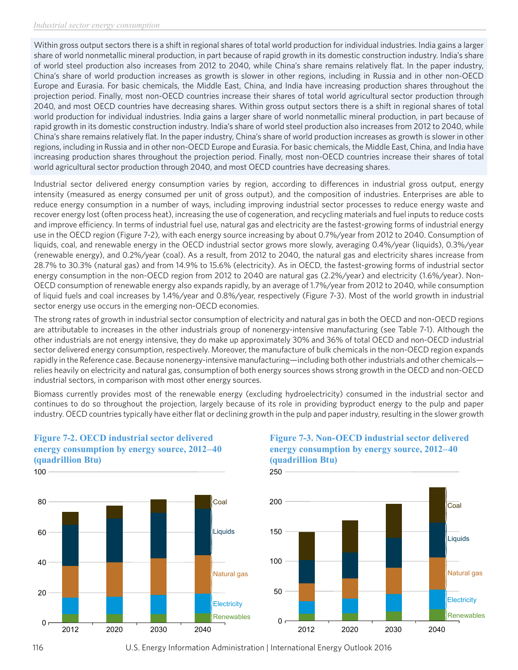Within gross output sectors there is a shift in regional shares of total world production for individual industries. India gains a larger share of world nonmetallic mineral production, in part because of rapid growth in its domestic construction industry. India's share of world steel production also increases from 2012 to 2040, while China's share remains relatively flat. In the paper industry, China's share of world production increases as growth is slower in other regions, including in Russia and in other non-OECD Europe and Eurasia. For basic chemicals, the Middle East, China, and India have increasing production shares throughout the projection period. Finally, most non-OECD countries increase their shares of total world agricultural sector production through 2040, and most OECD countries have decreasing shares. Within gross output sectors there is a shift in regional shares of total world production for individual industries. India gains a larger share of world nonmetallic mineral production, in part because of rapid growth in its domestic construction industry. India's share of world steel production also increases from 2012 to 2040, while China's share remains relatively flat. In the paper industry, China's share of world production increases as growth is slower in other regions, including in Russia and in other non-OECD Europe and Eurasia. For basic chemicals, the Middle East, China, and India have increasing production shares throughout the projection period. Finally, most non-OECD countries increase their shares of total world agricultural sector production through 2040, and most OECD countries have decreasing shares.

Industrial sector delivered energy consumption varies by region, according to differences in industrial gross output, energy intensity (measured as energy consumed per unit of gross output), and the composition of industries. Enterprises are able to reduce energy consumption in a number of ways, including improving industrial sector processes to reduce energy waste and recover energy lost (often process heat), increasing the use of cogeneration, and recycling materials and fuel inputs to reduce costs and improve efficiency. In terms of industrial fuel use, natural gas and electricity are the fastest-growing forms of industrial energy use in the OECD region (Figure 7-2), with each energy source increasing by about 0.7%/year from 2012 to 2040. Consumption of liquids, coal, and renewable energy in the OECD industrial sector grows more slowly, averaging 0.4%/year (liquids), 0.3%/year (renewable energy), and 0.2%/year (coal). As a result, from 2012 to 2040, the natural gas and electricity shares increase from 28.7% to 30.3% (natural gas) and from 14.9% to 15.6% (electricity). As in OECD, the fastest-growing forms of industrial sector energy consumption in the non-OECD region from 2012 to 2040 are natural gas (2.2%/year) and electricity (1.6%/year). Non-OECD consumption of renewable energy also expands rapidly, by an average of 1.7%/year from 2012 to 2040, while consumption of liquid fuels and coal increases by 1.4%/year and 0.8%/year, respectively (Figure 7-3). Most of the world growth in industrial sector energy use occurs in the emerging non-OECD economies.

The strong rates of growth in industrial sector consumption of electricity and natural gas in both the OECD and non-OECD regions are attributable to increases in the other industrials group of nonenergy-intensive manufacturing (see Table 7-1). Although the other industrials are not energy intensive, they do make up approximately 30% and 36% of total OECD and non-OECD industrial sector delivered energy consumption, respectively. Moreover, the manufacture of bulk chemicals in the non-OECD region expands rapidly in the Reference case. Because nonenergy-intensive manufacturing—including both other industrials and other chemicals relies heavily on electricity and natural gas, consumption of both energy sources shows strong growth in the OECD and non-OECD industrial sectors, in comparison with most other energy sources.

Biomass currently provides most of the renewable energy (excluding hydroelectricity) consumed in the industrial sector and continues to do so throughout the projection, largely because of its role in providing byproduct energy to the pulp and paper industry. OECD countries typically have either flat or declining growth in the pulp and paper industry, resulting in the slower growth



#### **Figure 7-2. OECD industrial sector delivered energy consumption by energy source, 2012–40 (quadrillion Btu)**

## **Figure 7-3. Non-OECD industrial sector delivered energy consumption by energy source, 2012–40 (quadrillion Btu)**



<sup>116</sup> U.S. Energy Information Administration | International Energy Outlook 2016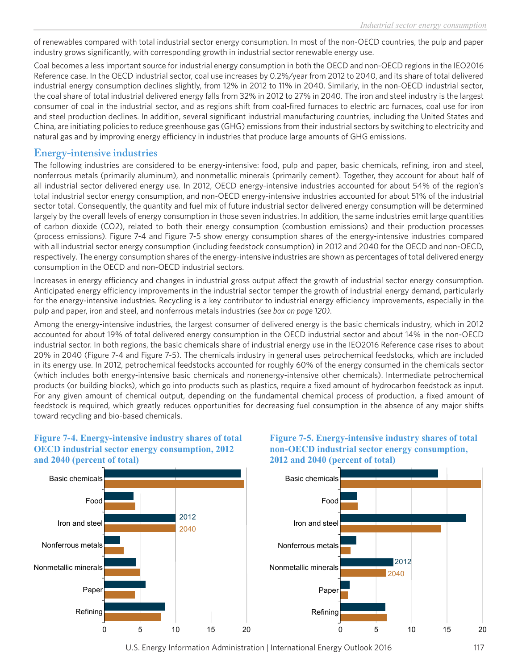of renewables compared with total industrial sector energy consumption. In most of the non-OECD countries, the pulp and paper industry grows significantly, with corresponding growth in industrial sector renewable energy use.

Coal becomes a less important source for industrial energy consumption in both the OECD and non-OECD regions in the IEO2016 Reference case. In the OECD industrial sector, coal use increases by 0.2%/year from 2012 to 2040, and its share of total delivered industrial energy consumption declines slightly, from 12% in 2012 to 11% in 2040. Similarly, in the non-OECD industrial sector, the coal share of total industrial delivered energy falls from 32% in 2012 to 27% in 2040. The iron and steel industry is the largest consumer of coal in the industrial sector, and as regions shift from coal-fired furnaces to electric arc furnaces, coal use for iron and steel production declines. In addition, several significant industrial manufacturing countries, including the United States and China, are initiating policies to reduce greenhouse gas (GHG) emissions from their industrial sectors by switching to electricity and natural gas and by improving energy efficiency in industries that produce large amounts of GHG emissions.

## **Energy-intensive industries**

The following industries are considered to be energy-intensive: food, pulp and paper, basic chemicals, refining, iron and steel, nonferrous metals (primarily aluminum), and nonmetallic minerals (primarily cement). Together, they account for about half of all industrial sector delivered energy use. In 2012, OECD energy-intensive industries accounted for about 54% of the region's total industrial sector energy consumption, and non-OECD energy-intensive industries accounted for about 51% of the industrial sector total. Consequently, the quantity and fuel mix of future industrial sector delivered energy consumption will be determined largely by the overall levels of energy consumption in those seven industries. In addition, the same industries emit large quantities of carbon dioxide (CO2), related to both their energy consumption (combustion emissions) and their production processes (process emissions). Figure 7-4 and Figure 7-5 show energy consumption shares of the energy-intensive industries compared with all industrial sector energy consumption (including feedstock consumption) in 2012 and 2040 for the OECD and non-OECD, respectively. The energy consumption shares of the energy-intensive industries are shown as percentages of total delivered energy consumption in the OECD and non-OECD industrial sectors.

Increases in energy efficiency and changes in industrial gross output affect the growth of industrial sector energy consumption. Anticipated energy efficiency improvements in the industrial sector temper the growth of industrial energy demand, particularly for the energy-intensive industries. Recycling is a key contributor to industrial energy efficiency improvements, especially in the pulp and paper, iron and steel, and nonferrous metals industries *(see box on page 120)*.

Among the energy-intensive industries, the largest consumer of delivered energy is the basic chemicals industry, which in 2012 accounted for about 19% of total delivered energy consumption in the OECD industrial sector and about 14% in the non-OECD industrial sector. In both regions, the basic chemicals share of industrial energy use in the IEO2016 Reference case rises to about 20% in 2040 (Figure 7-4 and Figure 7-5). The chemicals industry in general uses petrochemical feedstocks, which are included in its energy use. In 2012, petrochemical feedstocks accounted for roughly 60% of the energy consumed in the chemicals sector (which includes both energy-intensive basic chemicals and nonenergy-intensive other chemicals). Intermediate petrochemical products (or building blocks), which go into products such as plastics, require a fixed amount of hydrocarbon feedstock as input. For any given amount of chemical output, depending on the fundamental chemical process of production, a fixed amount of feedstock is required, which greatly reduces opportunities for decreasing fuel consumption in the absence of any major shifts toward recycling and bio-based chemicals.

### **Figure 7-4. Energy-intensive industry shares of total OECD industrial sector energy consumption, 2012 and 2040 (percent of total)**



#### **Figure 7-5. Energy-intensive industry shares of total non-OECD industrial sector energy consumption, 2012 and 2040 (percent of total)**



U.S. Energy Information Administration | International Energy Outlook 2016 117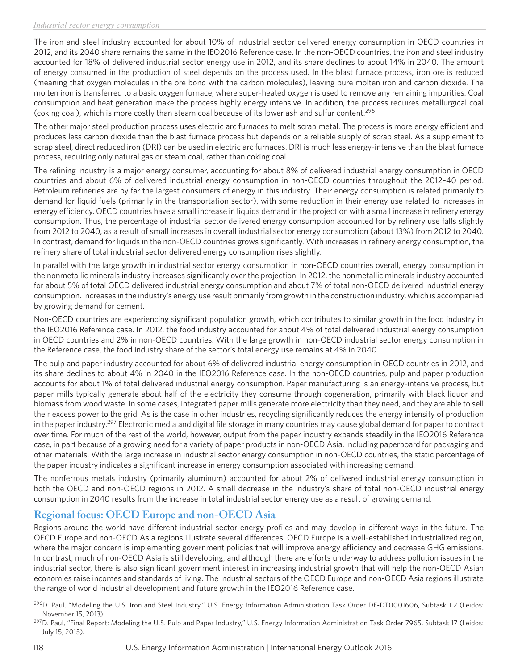The iron and steel industry accounted for about 10% of industrial sector delivered energy consumption in OECD countries in 2012, and its 2040 share remains the same in the IEO2016 Reference case. In the non-OECD countries, the iron and steel industry accounted for 18% of delivered industrial sector energy use in 2012, and its share declines to about 14% in 2040. The amount of energy consumed in the production of steel depends on the process used. In the blast furnace process, iron ore is reduced (meaning that oxygen molecules in the ore bond with the carbon molecules), leaving pure molten iron and carbon dioxide. The molten iron is transferred to a basic oxygen furnace, where super-heated oxygen is used to remove any remaining impurities. Coal consumption and heat generation make the process highly energy intensive. In addition, the process requires metallurgical coal (coking coal), which is more costly than steam coal because of its lower ash and sulfur content.296

The other major steel production process uses electric arc furnaces to melt scrap metal. The process is more energy efficient and produces less carbon dioxide than the blast furnace process but depends on a reliable supply of scrap steel. As a supplement to scrap steel, direct reduced iron (DRI) can be used in electric arc furnaces. DRI is much less energy-intensive than the blast furnace process, requiring only natural gas or steam coal, rather than coking coal.

The refining industry is a major energy consumer, accounting for about 8% of delivered industrial energy consumption in OECD countries and about 6% of delivered industrial energy consumption in non-OECD countries throughout the 2012–40 period. Petroleum refineries are by far the largest consumers of energy in this industry. Their energy consumption is related primarily to demand for liquid fuels (primarily in the transportation sector), with some reduction in their energy use related to increases in energy efficiency. OECD countries have a small increase in liquids demand in the projection with a small increase in refinery energy consumption. Thus, the percentage of industrial sector delivered energy consumption accounted for by refinery use falls slightly from 2012 to 2040, as a result of small increases in overall industrial sector energy consumption (about 13%) from 2012 to 2040. In contrast, demand for liquids in the non-OECD countries grows significantly. With increases in refinery energy consumption, the refinery share of total industrial sector delivered energy consumption rises slightly.

In parallel with the large growth in industrial sector energy consumption in non-OECD countries overall, energy consumption in the nonmetallic minerals industry increases significantly over the projection. In 2012, the nonmetallic minerals industry accounted for about 5% of total OECD delivered industrial energy consumption and about 7% of total non-OECD delivered industrial energy consumption. Increases in the industry's energy use result primarily from growth in the construction industry, which is accompanied by growing demand for cement.

Non-OECD countries are experiencing significant population growth, which contributes to similar growth in the food industry in the IEO2016 Reference case. In 2012, the food industry accounted for about 4% of total delivered industrial energy consumption in OECD countries and 2% in non-OECD countries. With the large growth in non-OECD industrial sector energy consumption in the Reference case, the food industry share of the sector's total energy use remains at 4% in 2040.

The pulp and paper industry accounted for about 6% of delivered industrial energy consumption in OECD countries in 2012, and its share declines to about 4% in 2040 in the IEO2016 Reference case. In the non-OECD countries, pulp and paper production accounts for about 1% of total delivered industrial energy consumption. Paper manufacturing is an energy-intensive process, but paper mills typically generate about half of the electricity they consume through cogeneration, primarily with black liquor and biomass from wood waste. In some cases, integrated paper mills generate more electricity than they need, and they are able to sell their excess power to the grid. As is the case in other industries, recycling significantly reduces the energy intensity of production in the paper industry.<sup>297</sup> Electronic media and digital file storage in many countries may cause global demand for paper to contract over time. For much of the rest of the world, however, output from the paper industry expands steadily in the IEO2016 Reference case, in part because of a growing need for a variety of paper products in non-OECD Asia, including paperboard for packaging and other materials. With the large increase in industrial sector energy consumption in non-OECD countries, the static percentage of the paper industry indicates a significant increase in energy consumption associated with increasing demand.

The nonferrous metals industry (primarily aluminum) accounted for about 2% of delivered industrial energy consumption in both the OECD and non-OECD regions in 2012. A small decrease in the industry's share of total non-OECD industrial energy consumption in 2040 results from the increase in total industrial sector energy use as a result of growing demand.

# **Regional focus: OECD Europe and non-OECD Asia**

Regions around the world have different industrial sector energy profiles and may develop in different ways in the future. The OECD Europe and non-OECD Asia regions illustrate several differences. OECD Europe is a well-established industrialized region, where the major concern is implementing government policies that will improve energy efficiency and decrease GHG emissions. In contrast, much of non-OECD Asia is still developing, and although there are efforts underway to address pollution issues in the industrial sector, there is also significant government interest in increasing industrial growth that will help the non-OECD Asian economies raise incomes and standards of living. The industrial sectors of the OECD Europe and non-OECD Asia regions illustrate the range of world industrial development and future growth in the IEO2016 Reference case.

<sup>&</sup>lt;sup>296</sup>D. Paul, "Modeling the U.S. Iron and Steel Industry," U.S. Energy Information Administration Task Order DE-DT0001606, Subtask 1.2 (Leidos: November 15, 2013).

<sup>&</sup>lt;sup>297</sup>D. Paul, "Final Report: Modeling the U.S. Pulp and Paper Industry," U.S. Energy Information Administration Task Order 7965, Subtask 17 (Leidos: July 15, 2015).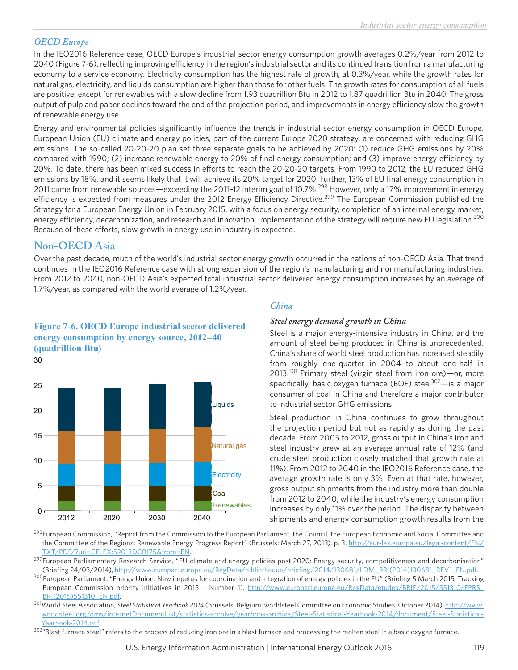### *OECD Europe*

In the IEO2016 Reference case, OECD Europe's industrial sector energy consumption growth averages 0.2%/year from 2012 to 2040 (Figure 7-6), reflecting improving efficiency in the region's industrial sector and its continued transition from a manufacturing economy to a service economy. Electricity consumption has the highest rate of growth, at 0.3%/year, while the growth rates for natural gas, electricity, and liquids consumption are higher than those for other fuels. The growth rates for consumption of all fuels are positive, except for renewables with a slow decline from 1.93 quadrillion Btu in 2012 to 1.87 quadrillion Btu in 2040. The gross output of pulp and paper declines toward the end of the projection period, and improvements in energy efficiency slow the growth of renewable energy use.

Energy and environmental policies significantly influence the trends in industrial sector energy consumption in OECD Europe. European Union (EU) climate and energy policies, part of the current Europe 2020 strategy, are concerned with reducing GHG emissions. The so-called 20-20-20 plan set three separate goals to be achieved by 2020: (1) reduce GHG emissions by 20% compared with 1990; (2) increase renewable energy to 20% of final energy consumption; and (3) improve energy efficiency by 20%. To date, there has been mixed success in efforts to reach the 20-20-20 targets. From 1990 to 2012, the EU reduced GHG emissions by 18%, and it seems likely that it will achieve its 20% target for 2020. Further, 13% of EU final energy consumption in 2011 came from renewable sources—exceeding the 2011-12 interim goal of 10.7%.<sup>298</sup> However, only a 17% improvement in energy efficiency is expected from measures under the 2012 Energy Efficiency Directive.<sup>299</sup> The European Commission published the Strategy for a European Energy Union in February 2015, with a focus on energy security, completion of an internal energy market, energy efficiency, decarbonization, and research and innovation. Implementation of the strategy will require new EU legislation.<sup>300</sup> Because of these efforts, slow growth in energy use in industry is expected.

# **Non-OECD Asia**

Over the past decade, much of the world's industrial sector energy growth occurred in the nations of non-OECD Asia. That trend continues in the IEO2016 Reference case with strong expansion of the region's manufacturing and nonmanufacturing industries. From 2012 to 2040, non-OECD Asia's expected total industrial sector delivered energy consumption increases by an average of 1.7%/year, as compared with the world average of 1.2%/year.

## **Figure 7-6. OECD Europe industrial sector delivered energy consumption by energy source, 2012–40 (quadrillion Btu)**



### *China*

### *Steel energy demand growth in China*

Steel is a major energy-intensive industry in China, and the amount of steel being produced in China is unprecedented. China's share of world steel production has increased steadily from roughly one-quarter in 2004 to about one-half in 2013.<sup>301</sup> Primary steel (virgin steel from iron ore)—or, more specifically, basic oxygen furnace (BOF) steel $302$ —is a major consumer of coal in China and therefore a major contributor to industrial sector GHG emissions.

Steel production in China continues to grow throughout the projection period but not as rapidly as during the past decade. From 2005 to 2012, gross output in China's iron and steel industry grew at an average annual rate of 12% (and crude steel production closely matched that growth rate at 11%). From 2012 to 2040 in the IEO2016 Reference case, the average growth rate is only 3%. Even at that rate, however, gross output shipments from the industry more than double from 2012 to 2040, while the industry's energy consumption increases by only 11% over the period. The disparity between shipments and energy consumption growth results from the

<sup>298</sup>European Commission, "Report from the Commission to the European Parliament, the Council, the European Economic and Social Committee and the Committee of the Regions: Renewable Energy Progress Report" (Brussels: March 27, 2013), p. 3, [http://eur-lex.europa.eu/legal-content/EN/](http://eur-lex.europa.eu/legal-content/EN/TXT/PDF/?uri=CELEX:52013DC0175&from=EN) [TXT/PDF/?uri=CELEX:52013DC0175&from=EN](http://eur-lex.europa.eu/legal-content/EN/TXT/PDF/?uri=CELEX:52013DC0175&from=EN).

<sup>299</sup>European Parliamentary Research Service, "EU climate and energy policies post-2020: Energy security, competitiveness and decarbonisation" (Briefing 24/03/2014), [http://www.europarl.europa.eu/RegData/bibliotheque/briefing/2014/130681/LDM\\_BRI\(2014\)130681\\_REV1\\_EN.pdf.](http://www.europarl.europa.eu/RegData/bibliotheque/briefing/2014/130681/LDM_BRI(2014)130681_REV1_EN.pdf)

<sup>300</sup>European Parliament, "Energy Union: New impetus for coordination and integration of energy policies in the EU" (Briefing 5 March 2015: Tracking European Commission priority initiatives in 2015 - Number 1), http://www.europarl.europa.eu/RegData/etudes/BRIE/2015/551310/EPRS [BRI\(2015\)551310\\_EN.pdf.](http://www.europarl.europa.eu/RegData/etudes/BRIE/2015/551310/EPRS_BRI(2015)551310_EN.pdf)

301World Steel Association, *Steel Statistical Yearbook 2014* (Brussels, Belgium: worldsteel Committee on Economic Studies, October 2014), [http://www.](http://www.worldsteel.org/dms/internetDocumentList/statistics-archive/yearbook-archive/Steel-Statistical-Yearbook-2014/document/Steel-Statistical-Yearbook-2014.pdf) [worldsteel.org/dms/internetDocumentList/statistics-archive/yearbook-archive/Steel-Statistical-Yearbook-2014/document/Steel-Statistical-](http://www.worldsteel.org/dms/internetDocumentList/statistics-archive/yearbook-archive/Steel-Statistical-Yearbook-2014/document/Steel-Statistical-Yearbook-2014.pdf)[Yearbook-2014.pdf](http://www.worldsteel.org/dms/internetDocumentList/statistics-archive/yearbook-archive/Steel-Statistical-Yearbook-2014/document/Steel-Statistical-Yearbook-2014.pdf).

 $302^{\mu}$ Blast furnace steel" refers to the process of reducing iron ore in a blast furnace and processing the molten steel in a basic oxygen furnace.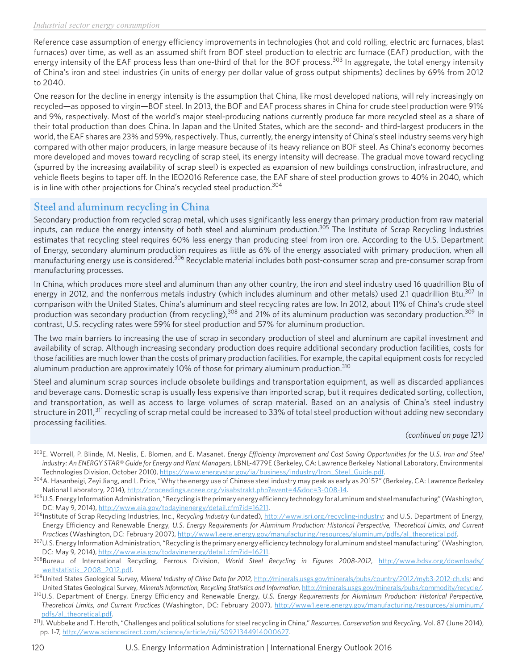Reference case assumption of energy efficiency improvements in technologies (hot and cold rolling, electric arc furnaces, blast furnaces) over time, as well as an assumed shift from BOF steel production to electric arc furnace (EAF) production, with the energy intensity of the EAF process less than one-third of that for the BOF process.<sup>303</sup> In aggregate, the total energy intensity of China's iron and steel industries (in units of energy per dollar value of gross output shipments) declines by 69% from 2012 to 2040.

One reason for the decline in energy intensity is the assumption that China, like most developed nations, will rely increasingly on recycled—as opposed to virgin—BOF steel. In 2013, the BOF and EAF process shares in China for crude steel production were 91% and 9%, respectively. Most of the world's major steel-producing nations currently produce far more recycled steel as a share of their total production than does China. In Japan and the United States, which are the second- and third-largest producers in the world, the EAF shares are 23% and 59%, respectively. Thus, currently, the energy intensity of China's steel industry seems very high compared with other major producers, in large measure because of its heavy reliance on BOF steel. As China's economy becomes more developed and moves toward recycling of scrap steel, its energy intensity will decrease. The gradual move toward recycling (spurred by the increasing availability of scrap steel) is expected as expansion of new buildings construction, infrastructure, and vehicle fleets begins to taper off. In the IEO2016 Reference case, the EAF share of steel production grows to 40% in 2040, which is in line with other projections for China's recycled steel production.<sup>304</sup>

# **Steel and aluminum recycling in China**

Secondary production from recycled scrap metal, which uses significantly less energy than primary production from raw material inputs, can reduce the energy intensity of both steel and aluminum production.305 The Institute of Scrap Recycling Industries estimates that recycling steel requires 60% less energy than producing steel from iron ore. According to the U.S. Department of Energy, secondary aluminum production requires as little as 6% of the energy associated with primary production, when all manufacturing energy use is considered.<sup>306</sup> Recyclable material includes both post-consumer scrap and pre-consumer scrap from manufacturing processes.

In China, which produces more steel and aluminum than any other country, the iron and steel industry used 16 quadrillion Btu of energy in 2012, and the nonferrous metals industry (which includes aluminum and other metals) used 2.1 quadrillion Btu.<sup>307</sup> In comparison with the United States, China's aluminum and steel recycling rates are low. In 2012, about 11% of China's crude steel production was secondary production (from recycling),<sup>308</sup> and 21% of its aluminum production was secondary production.<sup>309</sup> In contrast, U.S. recycling rates were 59% for steel production and 57% for aluminum production.

The two main barriers to increasing the use of scrap in secondary production of steel and aluminum are capital investment and availability of scrap. Although increasing secondary production does require additional secondary production facilities, costs for those facilities are much lower than the costs of primary production facilities. For example, the capital equipment costs for recycled aluminum production are approximately 10% of those for primary aluminum production.<sup>310</sup>

Steel and aluminum scrap sources include obsolete buildings and transportation equipment, as well as discarded appliances and beverage cans. Domestic scrap is usually less expensive than imported scrap, but it requires dedicated sorting, collection, and transportation, as well as access to large volumes of scrap material. Based on an analysis of China's steel industry structure in 2011,<sup>311</sup> recycling of scrap metal could be increased to 33% of total steel production without adding new secondary processing facilities.

*(continued on page 121)*

- 303E. Worrell, P. Blinde, M. Neelis, E. Blomen, and E. Masanet, *Energy Efficiency Improvement and Cost Saving Opportunities for the U.S. Iron and Steel industry: An ENERGY STAR® Guide for Energy and Plant Managers,* LBNL-4779E (Berkeley, CA: Lawrence Berkeley National Laboratory, Environmental Technologies Division, October 2010), [https://www.energystar.gov/ia/business/industry/Iron\\_Steel\\_Guide.pdf.](https://www.energystar.gov/ia/business/industry/Iron_Steel_Guide.pdf)
- $^{304}$ A. Hasanbeigi, Zeyi Jiang, and L. Price, "Why the energy use of Chinese steel industry may peak as early as 2015?" (Berkeley, CA: Lawrence Berkeley National Laboratory, 2014), <http://proceedings.eceee.org/visabstrakt.php?event=4&doc=3-008-14>.
- <sup>305</sup>U.S. Energy Information Administration, "Recycling is the primary energy efficiency technology for aluminum and steel manufacturing" (Washington, DC: May 9, 2014), <http://www.eia.gov/todayinenergy/detail.cfm?id=16211>.
- 306Institute of Scrap Recycling Industries, Inc., *Recycling Industry* (undated), <http://www.isri.org/recycling-industry>; and U.S. Department of Energy, Energy Efficiency and Renewable Energy, *U.S. Energy Requirements for Aluminum Production: Historical Perspective, Theoretical Limits, and Current Practices* (Washington, DC: February 2007), [http://www1.eere.energy.gov/manufacturing/resources/aluminum/pdfs/al\\_theoretical.pdf](http://www1.eere.energy.gov/manufacturing/resources/aluminum/pdfs/al_theoretical.pdf).
- <sup>307</sup>U.S. Energy Information Administration, "Recycling is the primary energy efficiency technology for aluminum and steel manufacturing" (Washington, DC: May 9, 2014),<http://www.eia.gov/todayinenergy/detail.cfm?id=16211>.
- 308Bureau of International Recycling, Ferrous Division, *World Steel Recycling in Figures 2008-2012,* [http://www.bdsv.org/downloads/](http://www.bdsv.org/downloads/weltstatistik_2008_2012.pdf) [weltstatistik\\_2008\\_2012.pdf.](http://www.bdsv.org/downloads/weltstatistik_2008_2012.pdf)
- 309United States Geological Survey, *Mineral Industry of China Data for 2012,* [http://minerals.usgs.gov/minerals/pubs/country/2012/myb3-2012-ch.xls;](http://minerals.usgs.gov/minerals/pubs/country/2012/myb3-2012-ch.xls) and United States Geological Survey, Minerals Information, Recycling Statistics and Information, [http://minerals.usgs.gov/minerals/pubs/commodity/recycle/.](http://minerals.usgs.gov/minerals/pubs/commodity/recycle/)
- 310U.S. Department of Energy, Energy Efficiency and Renewable Energy, *U.S. Energy Requirements for Aluminum Production: Historical Perspective, Theoretical Limits, and Current Practices* (Washington, DC: February 2007), [http://www1.eere.energy.gov/manufacturing/resources/aluminum/](http://www1.eere.energy.gov/manufacturing/resources/aluminum/pdfs/al_theoretical.pdf) [pdfs/al\\_theoretical.pdf](http://www1.eere.energy.gov/manufacturing/resources/aluminum/pdfs/al_theoretical.pdf).
- 311J. Wubbeke and T. Heroth, "Challenges and political solutions for steel recycling in China," *Resources, Conservation and Recycling,* Vol. 87 (June 2014), pp. 1-7, <http://www.sciencedirect.com/science/article/pii/S0921344914000627>.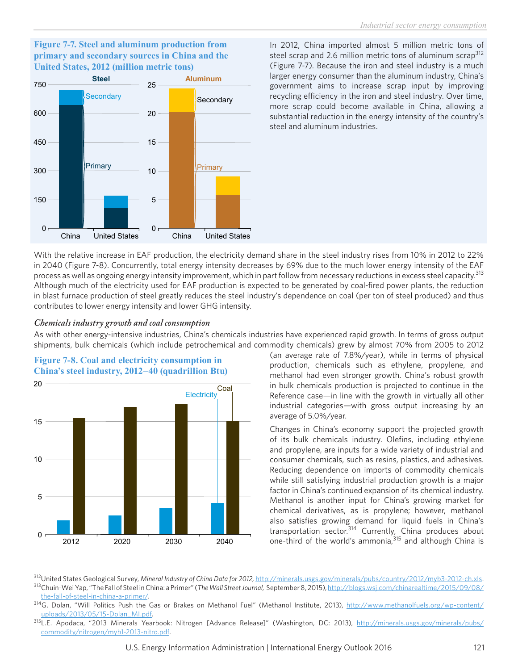#### **Figure 7-7. Steel and aluminum production from primary and secondary sources in China and the United States, 2012 (million metric tons)**



In 2012, China imported almost 5 million metric tons of steel scrap and 2.6 million metric tons of aluminum scrap<sup>312</sup> (Figure 7-7). Because the iron and steel industry is a much larger energy consumer than the aluminum industry, China's government aims to increase scrap input by improving recycling efficiency in the iron and steel industry. Over time, more scrap could become available in China, allowing a substantial reduction in the energy intensity of the country's steel and aluminum industries.

With the relative increase in EAF production, the electricity demand share in the steel industry rises from 10% in 2012 to 22% in 2040 (Figure 7-8). Concurrently, total energy intensity decreases by 69% due to the much lower energy intensity of the EAF process as well as ongoing energy intensity improvement, which in part follow from necessary reductions in excess steel capacity.<sup>313</sup> Although much of the electricity used for EAF production is expected to be generated by coal-fired power plants, the reduction in blast furnace production of steel greatly reduces the steel industry's dependence on coal (per ton of steel produced) and thus contributes to lower energy intensity and lower GHG intensity.

#### *Chemicals industry growth and coal consumption*

As with other energy-intensive industries, China's chemicals industries have experienced rapid growth. In terms of gross output shipments, bulk chemicals (which include petrochemical and commodity chemicals) grew by almost 70% from 2005 to 2012



**Figure 7-8. Coal and electricity consumption in China's steel industry, 2012–40 (quadrillion Btu)** (an average rate of 7.8%/year), while in terms of physical production, chemicals such as ethylene, propylene, and methanol had even stronger growth. China's robust growth in bulk chemicals production is projected to continue in the Reference case—in line with the growth in virtually all other industrial categories—with gross output increasing by an average of 5.0%/year.

Changes in China's economy support the projected growth of its bulk chemicals industry. Olefins, including ethylene and propylene, are inputs for a wide variety of industrial and consumer chemicals, such as resins, plastics, and adhesives. Reducing dependence on imports of commodity chemicals while still satisfying industrial production growth is a major factor in China's continued expansion of its chemical industry. Methanol is another input for China's growing market for chemical derivatives, as is propylene; however, methanol also satisfies growing demand for liquid fuels in China's transportation sector.314 Currently, China produces about one-third of the world's ammonia,315 and although China is

312United States Geological Survey, *Mineral Industry of China Data for 2012,* <http://minerals.usgs.gov/minerals/pubs/country/2012/myb3-2012-ch.xls>. 313Chuin-Wei Yap, "The Fall of Steel in China: a Primer" (*The Wall Street Journal,* September 8, 2015), [http://blogs.wsj.com/chinarealtime/2015/09/08/](http://blogs.wsj.com/chinarealtime/2015/09/08/the-fall-of-steel-in-china-a-primer/) [the-fall-of-steel-in-china-a-primer/](http://blogs.wsj.com/chinarealtime/2015/09/08/the-fall-of-steel-in-china-a-primer/).

314G. Dolan, "Will Politics Push the Gas or Brakes on Methanol Fuel" (Methanol Institute, 2013), [http://www.methanolfuels.org/wp-content/](http://www.methanolfuels.org/wp-content/uploads/2013/05/15-Dolan_MI.pdf) [uploads/2013/05/15-Dolan\\_MI.pdf.](http://www.methanolfuels.org/wp-content/uploads/2013/05/15-Dolan_MI.pdf)

315L.E. Apodaca, "2013 Minerals Yearbook: Nitrogen [Advance Release]" (Washington, DC: 2013), [http://minerals.usgs.gov/minerals/pubs/](http://minerals.usgs.gov/minerals/pubs/commodity/nitrogen/myb1-2013-nitro.pdf) [commodity/nitrogen/myb1-2013-nitro.pdf](http://minerals.usgs.gov/minerals/pubs/commodity/nitrogen/myb1-2013-nitro.pdf).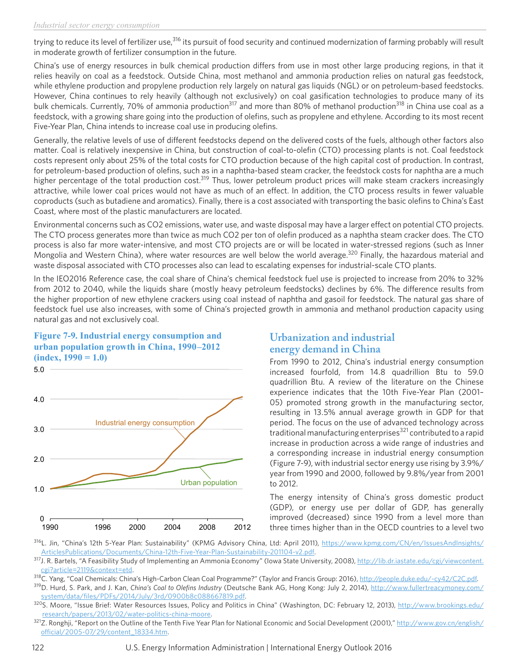trying to reduce its level of fertilizer use,<sup>316</sup> its pursuit of food security and continued modernization of farming probably will result in moderate growth of fertilizer consumption in the future.

China's use of energy resources in bulk chemical production differs from use in most other large producing regions, in that it relies heavily on coal as a feedstock. Outside China, most methanol and ammonia production relies on natural gas feedstock, while ethylene production and propylene production rely largely on natural gas liquids (NGL) or on petroleum-based feedstocks. However, China continues to rely heavily (although not exclusively) on coal gasification technologies to produce many of its bulk chemicals. Currently, 70% of ammonia production<sup>317</sup> and more than 80% of methanol production<sup>318</sup> in China use coal as a feedstock, with a growing share going into the production of olefins, such as propylene and ethylene. According to its most recent Five-Year Plan, China intends to increase coal use in producing olefins.

Generally, the relative levels of use of different feedstocks depend on the delivered costs of the fuels, although other factors also matter. Coal is relatively inexpensive in China, but construction of coal-to-olefin (CTO) processing plants is not. Coal feedstock costs represent only about 25% of the total costs for CTO production because of the high capital cost of production. In contrast, for petroleum-based production of olefins, such as in a naphtha-based steam cracker, the feedstock costs for naphtha are a much higher percentage of the total production cost.<sup>319</sup> Thus, lower petroleum product prices will make steam crackers increasingly attractive, while lower coal prices would not have as much of an effect. In addition, the CTO process results in fewer valuable coproducts (such as butadiene and aromatics). Finally, there is a cost associated with transporting the basic olefins to China's East Coast, where most of the plastic manufacturers are located.

Environmental concerns such as CO2 emissions, water use, and waste disposal may have a larger effect on potential CTO projects. The CTO process generates more than twice as much CO2 per ton of olefin produced as a naphtha steam cracker does. The CTO process is also far more water-intensive, and most CTO projects are or will be located in water-stressed regions (such as Inner Mongolia and Western China), where water resources are well below the world average.<sup>320</sup> Finally, the hazardous material and waste disposal associated with CTO processes also can lead to escalating expenses for industrial-scale CTO plants.

In the IEO2016 Reference case, the coal share of China's chemical feedstock fuel use is projected to increase from 20% to 32% from 2012 to 2040, while the liquids share (mostly heavy petroleum feedstocks) declines by 6%. The difference results from the higher proportion of new ethylene crackers using coal instead of naphtha and gasoil for feedstock. The natural gas share of feedstock fuel use also increases, with some of China's projected growth in ammonia and methanol production capacity using natural gas and not exclusively coal.

#### **Figure 7-9. Industrial energy consumption and urban population growth in China, 1990–2012 (index, 1990 = 1.0)**



# **Urbanization and industrial energy demand in China**

From 1990 to 2012, China's industrial energy consumption increased fourfold, from 14.8 quadrillion Btu to 59.0 quadrillion Btu. A review of the literature on the Chinese experience indicates that the 10th Five-Year Plan (2001– 05) promoted strong growth in the manufacturing sector, resulting in 13.5% annual average growth in GDP for that period. The focus on the use of advanced technology across traditional manufacturing enterprises<sup>321</sup> contributed to a rapid increase in production across a wide range of industries and a corresponding increase in industrial energy consumption (Figure 7-9), with industrial sector energy use rising by 3.9%/ year from 1990 and 2000, followed by 9.8%/year from 2001 to 2012.

The energy intensity of China's gross domestic product (GDP), or energy use per dollar of GDP, has generally improved (decreased) since 1990 from a level more than three times higher than in the OECD countries to a level two

316L. Jin, "China's 12th 5-Year Plan: Sustainability" (KPMG Advisory China, Ltd: April 2011), [https://www.kpmg.com/CN/en/IssuesAndInsights/](https://www.kpmg.com/CN/en/IssuesAndInsights/ArticlesPublications/Documents/China-12th-Five-Year-Plan-Sustainability-201104-v2.pdf) [ArticlesPublications/Documents/China-12th-Five-Year-Plan-Sustainability-201104-v2.pdf.](https://www.kpmg.com/CN/en/IssuesAndInsights/ArticlesPublications/Documents/China-12th-Five-Year-Plan-Sustainability-201104-v2.pdf)

318C. Yang, "Coal Chemicals: China's High-Carbon Clean Coal Programme?" (Taylor and Francis Group: 2016), [http://people.duke.edu/~cy42/C2C.pdf.](http://people.duke.edu/~cy42/C2C.pdf)

<sup>317</sup>J. R. Bartels, "A Feasibility Study of Implementing an Ammonia Economy" (Iowa State University, 2008), [http://lib.dr.iastate.edu/cgi/viewcontent.](http://lib.dr.iastate.edu/cgi/viewcontent.cgi?article=2119&context=etd) [cgi?article=2119&context=etd](http://lib.dr.iastate.edu/cgi/viewcontent.cgi?article=2119&context=etd).

<sup>319</sup>D. Hurd, S. Park, and J. Kan, *China's Coal to Olefins Industry* (Deutsche Bank AG, Hong Kong: July 2, 2014), [http://www.fullertreacymoney.com/](http://www.fullertreacymoney.com/system/data/files/PDFs/2014/July/3rd/0900b8c088667819.pdf) [system/data/files/PDFs/2014/July/3rd/0900b8c088667819.pdf](http://www.fullertreacymoney.com/system/data/files/PDFs/2014/July/3rd/0900b8c088667819.pdf).

<sup>320</sup>S. Moore, "Issue Brief: Water Resources Issues, Policy and Politics in China" (Washington, DC: February 12, 2013), [http://www.brookings.edu/](http://www.brookings.edu/research/papers/2013/02/water-politics-china-moore) [research/papers/2013/02/water-politics-china-moore](http://www.brookings.edu/research/papers/2013/02/water-politics-china-moore).

<sup>321</sup>Z. Ronghji, "Report on the Outline of the Tenth Five Year Plan for National Economic and Social Development (2001)," [http://www.gov.cn/english/](http://www.gov.cn/english/official/2005-07/29/content_18334.htm) [official/2005-07/29/content\\_18334.htm](http://www.gov.cn/english/official/2005-07/29/content_18334.htm).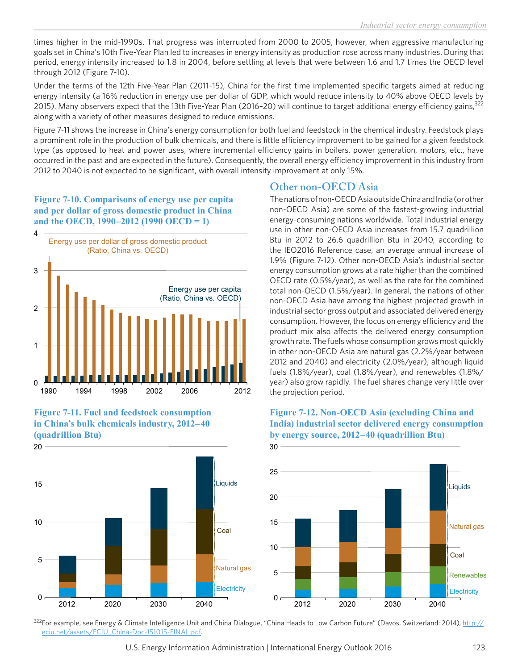times higher in the mid-1990s. That progress was interrupted from 2000 to 2005, however, when aggressive manufacturing goals set in China's 10th Five-Year Plan led to increases in energy intensity as production rose across many industries. During that period, energy intensity increased to 1.8 in 2004, before settling at levels that were between 1.6 and 1.7 times the OECD level through 2012 (Figure 7-10).

Under the terms of the 12th Five-Year Plan (2011–15), China for the first time implemented specific targets aimed at reducing energy intensity (a 16% reduction in energy use per dollar of GDP, which would reduce intensity to 40% above OECD levels by 2015). Many observers expect that the 13th Five-Year Plan (2016-20) will continue to target additional energy efficiency gains, 322 along with a variety of other measures designed to reduce emissions.

Figure 7-11 shows the increase in China's energy consumption for both fuel and feedstock in the chemical industry. Feedstock plays a prominent role in the production of bulk chemicals, and there is little efficiency improvement to be gained for a given feedstock type (as opposed to heat and power uses, where incremental efficiency gains in boilers, power generation, motors, etc., have occurred in the past and are expected in the future). Consequently, the overall energy efficiency improvement in this industry from 2012 to 2040 is not expected to be significant, with overall intensity improvement at only 15%.

### **Figure 7-10. Comparisons of energy use per capita and per dollar of gross domestic product in China and the OECD, 1990–2012 (1990 OECD = 1)**







# **Other non-OECD Asia**

The nations of non-OECD Asia outside China and India (or other non-OECD Asia) are some of the fastest-growing industrial energy-consuming nations worldwide. Total industrial energy use in other non-OECD Asia increases from 15.7 quadrillion Btu in 2012 to 26.6 quadrillion Btu in 2040, according to the IEO2016 Reference case, an average annual increase of 1.9% (Figure 7-12). Other non-OECD Asia's industrial sector energy consumption grows at a rate higher than the combined OECD rate (0.5%/year), as well as the rate for the combined total non-OECD (1.5%/year). In general, the nations of other non-OECD Asia have among the highest projected growth in industrial sector gross output and associated delivered energy consumption. However, the focus on energy efficiency and the product mix also affects the delivered energy consumption growth rate. The fuels whose consumption grows most quickly in other non-OECD Asia are natural gas (2.2%/year between 2012 and 2040) and electricity (2.0%/year), although liquid fuels (1.8%/year), coal (1.8%/year), and renewables (1.8%/ year) also grow rapidly. The fuel shares change very little over the projection period.



#### **Figure 7-12. Non-OECD Asia (excluding China and India) industrial sector delivered energy consumption by energy source, 2012–40 (quadrillion Btu)**

322For example, see Energy & Climate Intelligence Unit and China Dialogue, "China Heads to Low Carbon Future" (Davos, Switzerland: 2014), [http://](http://eciu.net/assets/ECIU_China-Doc-151015-FINAL.pdf) [eciu.net/assets/ECIU\\_China-Doc-151015-FINAL.pdf.](http://eciu.net/assets/ECIU_China-Doc-151015-FINAL.pdf)

U.S. Energy Information Administration | International Energy Outlook 2016 123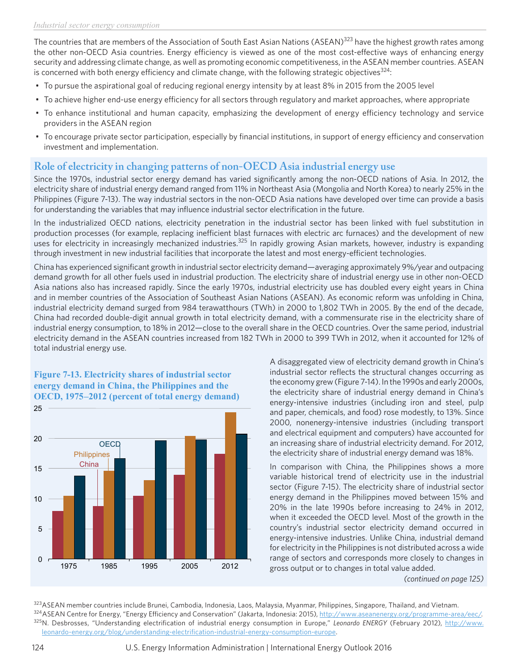The countries that are members of the Association of South East Asian Nations (ASEAN)<sup>323</sup> have the highest growth rates among the other non-OECD Asia countries. Energy efficiency is viewed as one of the most cost-effective ways of enhancing energy security and addressing climate change, as well as promoting economic competitiveness, in the ASEAN member countries. ASEAN is concerned with both energy efficiency and climate change, with the following strategic objectives<sup>324</sup>:

- To pursue the aspirational goal of reducing regional energy intensity by at least 8% in 2015 from the 2005 level
- To achieve higher end-use energy efficiency for all sectors through regulatory and market approaches, where appropriate
- To enhance institutional and human capacity, emphasizing the development of energy efficiency technology and service providers in the ASEAN region
- To encourage private sector participation, especially by financial institutions, in support of energy efficiency and conservation investment and implementation.

# **Role of electricity in changing patterns of non-OECD Asia industrial energy use**

Since the 1970s, industrial sector energy demand has varied significantly among the non-OECD nations of Asia. In 2012, the electricity share of industrial energy demand ranged from 11% in Northeast Asia (Mongolia and North Korea) to nearly 25% in the Philippines (Figure 7-13). The way industrial sectors in the non-OECD Asia nations have developed over time can provide a basis for understanding the variables that may influence industrial sector electrification in the future.

In the industrialized OECD nations, electricity penetration in the industrial sector has been linked with fuel substitution in production processes (for example, replacing inefficient blast furnaces with electric arc furnaces) and the development of new uses for electricity in increasingly mechanized industries.<sup>325</sup> In rapidly growing Asian markets, however, industry is expanding through investment in new industrial facilities that incorporate the latest and most energy-efficient technologies.

China has experienced significant growth in industrial sector electricity demand—averaging approximately 9%/year and outpacing demand growth for all other fuels used in industrial production. The electricity share of industrial energy use in other non-OECD Asia nations also has increased rapidly. Since the early 1970s, industrial electricity use has doubled every eight years in China and in member countries of the Association of Southeast Asian Nations (ASEAN). As economic reform was unfolding in China, industrial electricity demand surged from 984 terawatthours (TWh) in 2000 to 1,802 TWh in 2005. By the end of the decade, China had recorded double-digit annual growth in total electricity demand, with a commensurate rise in the electricity share of industrial energy consumption, to 18% in 2012—close to the overall share in the OECD countries. Over the same period, industrial electricity demand in the ASEAN countries increased from 182 TWh in 2000 to 399 TWh in 2012, when it accounted for 12% of total industrial energy use.

#### **Figure 7-13. Electricity shares of industrial sector energy demand in China, the Philippines and the OECD, 1975–2012 (percent of total energy demand)**



A disaggregated view of electricity demand growth in China's industrial sector reflects the structural changes occurring as the economy grew (Figure 7-14). In the 1990s and early 2000s, the electricity share of industrial energy demand in China's energy-intensive industries (including iron and steel, pulp and paper, chemicals, and food) rose modestly, to 13%. Since 2000, nonenergy-intensive industries (including transport and electrical equipment and computers) have accounted for an increasing share of industrial electricity demand. For 2012, the electricity share of industrial energy demand was 18%.

In comparison with China, the Philippines shows a more variable historical trend of electricity use in the industrial sector (Figure 7-15). The electricity share of industrial sector energy demand in the Philippines moved between 15% and 20% in the late 1990s before increasing to 24% in 2012, when it exceeded the OECD level. Most of the growth in the country's industrial sector electricity demand occurred in energy-intensive industries. Unlike China, industrial demand for electricity in the Philippines is not distributed across a wide range of sectors and corresponds more closely to changes in gross output or to changes in total value added.

*(continued on page 125)*

323ASEAN member countries include Brunei, Cambodia, Indonesia, Laos, Malaysia, Myanmar, Philippines, Singapore, Thailand, and Vietnam. 324 ASEAN Centre for Energy, "Energy Efficiency and Conservation" (Jakarta, Indonesia: 2015), <http://www.aseanenergy.org/programme-area/eec/>. 325N. Desbrosses, "Understanding electrification of industrial energy consumption in Europe," *Leonardo ENERGY* (February 2012), [http://www.](http://www.leonardo-energy.org/blog/understanding-electrification-industrial-energy-consumption-europe) [leonardo-energy.org/blog/understanding-electrification-industrial-energy-consumption-europe](http://www.leonardo-energy.org/blog/understanding-electrification-industrial-energy-consumption-europe).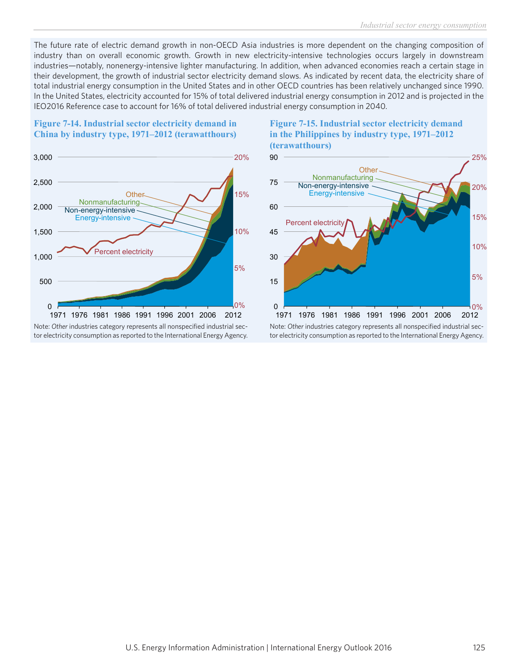The future rate of electric demand growth in non-OECD Asia industries is more dependent on the changing composition of industry than on overall economic growth. Growth in new electricity-intensive technologies occurs largely in downstream industries—notably, nonenergy-intensive lighter manufacturing. In addition, when advanced economies reach a certain stage in their development, the growth of industrial sector electricity demand slows. As indicated by recent data, the electricity share of total industrial energy consumption in the United States and in other OECD countries has been relatively unchanged since 1990. In the United States, electricity accounted for 15% of total delivered industrial energy consumption in 2012 and is projected in the IEO2016 Reference case to account for 16% of total delivered industrial energy consumption in 2040.

### **Figure 7-14. Industrial sector electricity demand in China by industry type, 1971–2012 (terawatthours)**



tor electricity consumption as reported to the International Energy Agency.





tor electricity consumption as reported to the International Energy Agency.